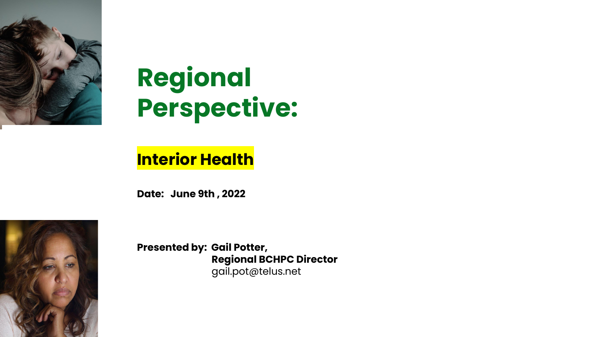

# **Regional Perspective:**

## **Interior Health**

**Date: June 9th , 2022**



**Presented by: Gail Potter, Regional BCHPC Director** gail.pot@telus.net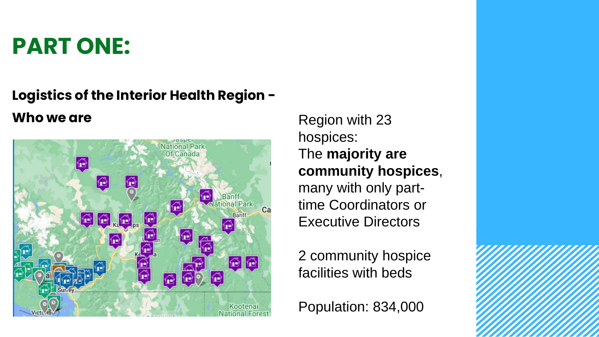# **PART ONE:**

## **Logistics of the Interior Health Region -**



**Who we are** Region with 23 hospices: The **majority are community hospices**, many with only parttime Coordinators or Executive Directors

> 2 community hospice facilities with beds

Population: 834,000

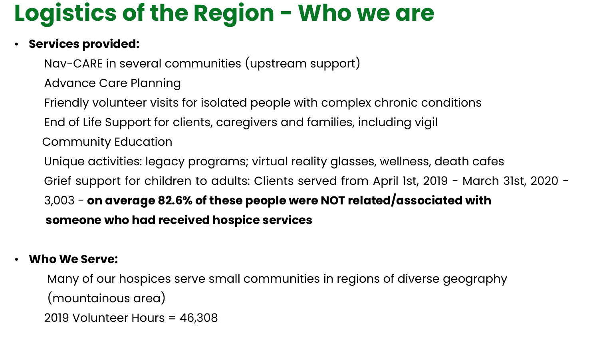# **Logistics of the Region - Who we are**

### • **Services provided:**

Nav-CARE in several communities (upstream support) Advance Care Planning Friendly volunteer visits for isolated people with complex chronic conditions

- End of Life Support for clients, caregivers and families, including vigil Community Education
- Unique activities: legacy programs; virtual reality glasses, wellness, death cafes
- Grief support for children to adults: Clients served from April 1st, 2019 March 31st, 2020 -

3,003 - **on average 82.6% of these people were NOT related/associated with someone who had received hospice services**

### • **Who We Serve:**

Many of our hospices serve small communities in regions of diverse geography (mountainous area) 2019 Volunteer Hours = 46,308

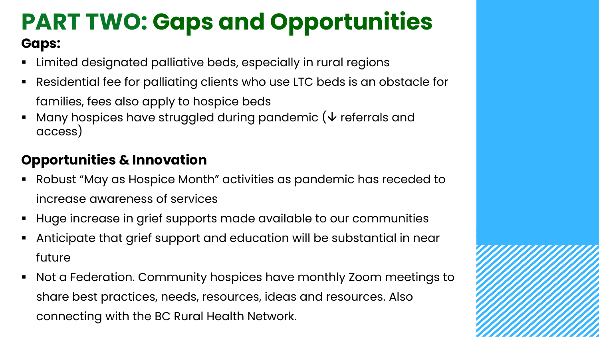## **PART TWO: Gaps and Opportunities Gaps:**

- Limited designated palliative beds, especially in rural regions
- Residential fee for palliating clients who use LTC beds is an obstacle for families, fees also apply to hospice beds
- Many hospices have struggled during pandemic ( $\vee$  referrals and access)

## **Opportunities & Innovation**

- Robust "May as Hospice Month" activities as pandemic has receded to increase awareness of services
- Huge increase in grief supports made available to our communities
- Anticipate that grief support and education will be substantial in near future
- Not a Federation. Community hospices have monthly Zoom meetings to share best practices, needs, resources, ideas and resources. Also connecting with the BC Rural Health Network.